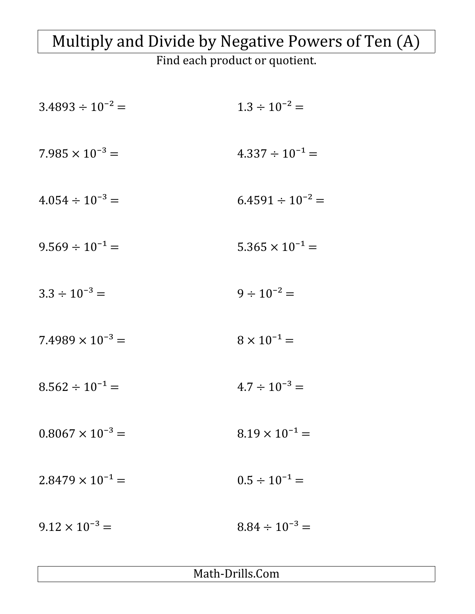## Multiply and Divide by Negative Powers of Ten (A)

Find each product or quotient.

| $3.4893 \div 10^{-2} =$   | $1.3 \div 10^{-2} =$     |
|---------------------------|--------------------------|
| $7.985 \times 10^{-3} =$  | $4.337 \div 10^{-1} =$   |
| $4.054 \div 10^{-3} =$    | $6.4591 \div 10^{-2} =$  |
| $9.569 \div 10^{-1} =$    | $5.365 \times 10^{-1} =$ |
| $3.3 \div 10^{-3} =$      | $9 \div 10^{-2} =$       |
| $7.4989 \times 10^{-3} =$ | $8 \times 10^{-1} =$     |
| $8.562 \div 10^{-1} =$    | $4.7 \div 10^{-3} =$     |
| $0.8067 \times 10^{-3} =$ | $8.19 \times 10^{-1} =$  |
| $2.8479 \times 10^{-1} =$ | $0.5 \div 10^{-1} =$     |
| $9.12 \times 10^{-3} =$   | $8.84 \div 10^{-3} =$    |